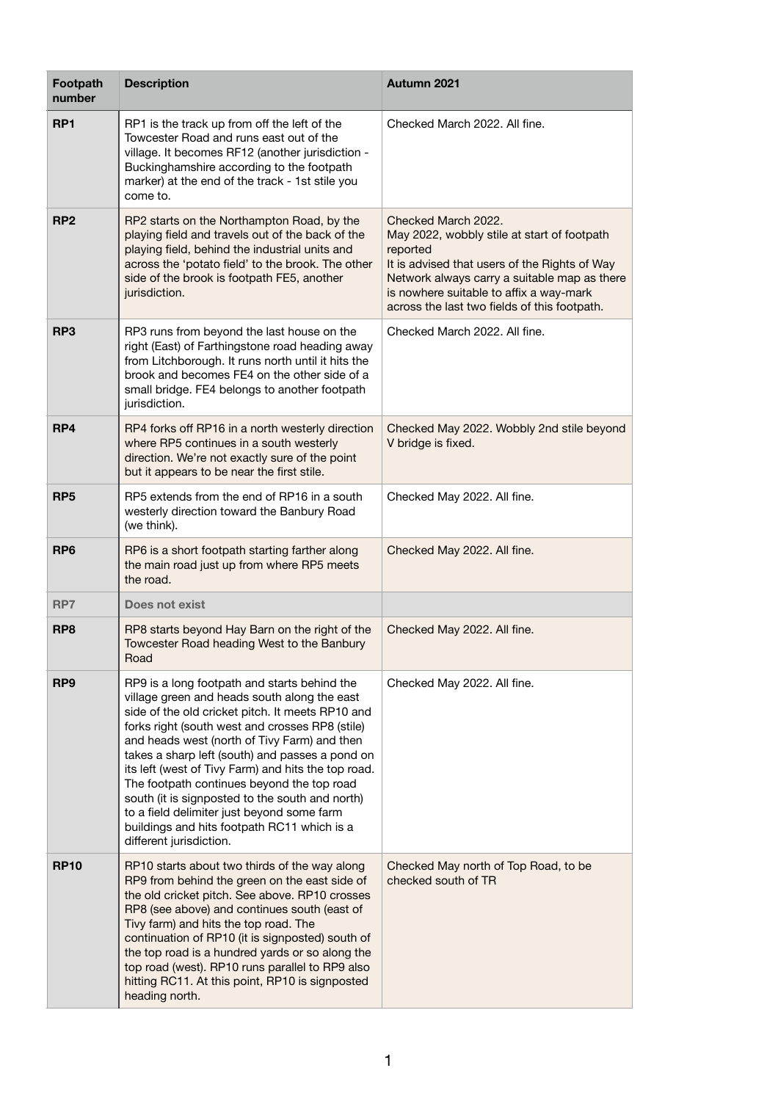| Footpath<br>number | <b>Description</b>                                                                                                                                                                                                                                                                                                                                                                                                                                                                                                                                                                     | Autumn 2021                                                                                                                                                                                                                                                                |
|--------------------|----------------------------------------------------------------------------------------------------------------------------------------------------------------------------------------------------------------------------------------------------------------------------------------------------------------------------------------------------------------------------------------------------------------------------------------------------------------------------------------------------------------------------------------------------------------------------------------|----------------------------------------------------------------------------------------------------------------------------------------------------------------------------------------------------------------------------------------------------------------------------|
| RP <sub>1</sub>    | RP1 is the track up from off the left of the<br>Towcester Road and runs east out of the<br>village. It becomes RF12 (another jurisdiction -<br>Buckinghamshire according to the footpath<br>marker) at the end of the track - 1st stile you<br>come to.                                                                                                                                                                                                                                                                                                                                | Checked March 2022, All fine.                                                                                                                                                                                                                                              |
| RP <sub>2</sub>    | RP2 starts on the Northampton Road, by the<br>playing field and travels out of the back of the<br>playing field, behind the industrial units and<br>across the 'potato field' to the brook. The other<br>side of the brook is footpath FE5, another<br>jurisdiction.                                                                                                                                                                                                                                                                                                                   | Checked March 2022.<br>May 2022, wobbly stile at start of footpath<br>reported<br>It is advised that users of the Rights of Way<br>Network always carry a suitable map as there<br>is nowhere suitable to affix a way-mark<br>across the last two fields of this footpath. |
| RP <sub>3</sub>    | RP3 runs from beyond the last house on the<br>right (East) of Farthingstone road heading away<br>from Litchborough. It runs north until it hits the<br>brook and becomes FE4 on the other side of a<br>small bridge. FE4 belongs to another footpath<br>jurisdiction.                                                                                                                                                                                                                                                                                                                  | Checked March 2022, All fine.                                                                                                                                                                                                                                              |
| RP4                | RP4 forks off RP16 in a north westerly direction<br>where RP5 continues in a south westerly<br>direction. We're not exactly sure of the point<br>but it appears to be near the first stile.                                                                                                                                                                                                                                                                                                                                                                                            | Checked May 2022. Wobbly 2nd stile beyond<br>V bridge is fixed.                                                                                                                                                                                                            |
| RP <sub>5</sub>    | RP5 extends from the end of RP16 in a south<br>westerly direction toward the Banbury Road<br>(we think).                                                                                                                                                                                                                                                                                                                                                                                                                                                                               | Checked May 2022. All fine.                                                                                                                                                                                                                                                |
| RP <sub>6</sub>    | RP6 is a short footpath starting farther along<br>the main road just up from where RP5 meets<br>the road.                                                                                                                                                                                                                                                                                                                                                                                                                                                                              | Checked May 2022. All fine.                                                                                                                                                                                                                                                |
| RP7                | Does not exist                                                                                                                                                                                                                                                                                                                                                                                                                                                                                                                                                                         |                                                                                                                                                                                                                                                                            |
| RP <sub>8</sub>    | RP8 starts beyond Hay Barn on the right of the<br>Towcester Road heading West to the Banbury<br>Road                                                                                                                                                                                                                                                                                                                                                                                                                                                                                   | Checked May 2022. All fine.                                                                                                                                                                                                                                                |
| RP <sub>9</sub>    | RP9 is a long footpath and starts behind the<br>village green and heads south along the east<br>side of the old cricket pitch. It meets RP10 and<br>forks right (south west and crosses RP8 (stile)<br>and heads west (north of Tivy Farm) and then<br>takes a sharp left (south) and passes a pond on<br>its left (west of Tivy Farm) and hits the top road.<br>The footpath continues beyond the top road<br>south (it is signposted to the south and north)<br>to a field delimiter just beyond some farm<br>buildings and hits footpath RC11 which is a<br>different jurisdiction. | Checked May 2022. All fine.                                                                                                                                                                                                                                                |
| <b>RP10</b>        | RP10 starts about two thirds of the way along<br>RP9 from behind the green on the east side of<br>the old cricket pitch. See above. RP10 crosses<br>RP8 (see above) and continues south (east of<br>Tivy farm) and hits the top road. The<br>continuation of RP10 (it is signposted) south of<br>the top road is a hundred yards or so along the<br>top road (west). RP10 runs parallel to RP9 also<br>hitting RC11. At this point, RP10 is signposted<br>heading north.                                                                                                               | Checked May north of Top Road, to be<br>checked south of TR                                                                                                                                                                                                                |